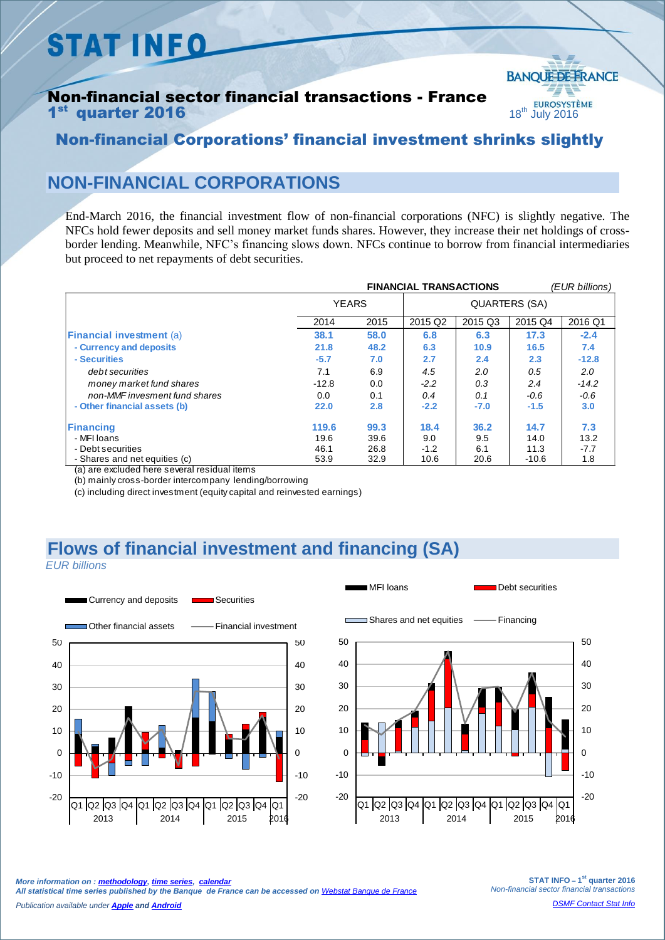# **STAT INFO**

#### Non-financial sector financial transactions - France  $1<sup>st</sup>$  quarter 2016 **18th July 2016**



#### Non-financial Corporations' financial investment shrinks slightly

### **NON-FINANCIAL CORPORATIONS**

End-March 2016, the financial investment flow of non-financial corporations (NFC) is slightly negative. The NFCs hold fewer deposits and sell money market funds shares. However, they increase their net holdings of crossborder lending. Meanwhile, NFC's financing slows down. NFCs continue to borrow from financial intermediaries but proceed to net repayments of debt securities.

|                                 | <b>FINANCIAL TRANSACTIONS</b> |      |                      |         |         | (EUR billions) |  |
|---------------------------------|-------------------------------|------|----------------------|---------|---------|----------------|--|
|                                 | <b>YEARS</b>                  |      | <b>QUARTERS (SA)</b> |         |         |                |  |
|                                 | 2014                          | 2015 | 2015 Q2              | 2015 Q3 | 2015 Q4 | 2016 Q1        |  |
| <b>Financial investment (a)</b> | 38.1                          | 58.0 | 6.8                  | 6.3     | 17.3    | $-2.4$         |  |
| - Currency and deposits         | 21.8                          | 48.2 | 6.3                  | 10.9    | 16.5    | 7.4            |  |
| - Securities                    | $-5.7$                        | 7.0  | 2.7                  | 2.4     | 2.3     | $-12.8$        |  |
| debt securities                 | 7.1                           | 6.9  | 4.5                  | 2.0     | 0.5     | 2.0            |  |
| money market fund shares        | $-12.8$                       | 0.0  | $-2.2$               | 0.3     | 2.4     | $-14.2$        |  |
| non-MMF invesment fund shares   | 0.0                           | 0.1  | 0.4                  | 0.1     | $-0.6$  | $-0.6$         |  |
| - Other financial assets (b)    | 22.0                          | 2.8  | $-2.2$               | $-7.0$  | $-1.5$  | 3.0            |  |
| <b>Financing</b>                | 119.6                         | 99.3 | 18.4                 | 36.2    | 14.7    | 7.3            |  |
| - MFI Ioans                     | 19.6                          | 39.6 | 9.0                  | 9.5     | 14.0    | 13.2           |  |
| - Debt securities               | 46.1                          | 26.8 | $-1.2$               | 6.1     | 11.3    | -7.7           |  |
| - Shares and net equities (c)   | 53.9                          | 32.9 | 10.6                 | 20.6    | $-10.6$ | 1.8            |  |

(a) are excluded here several residual items

(b) mainly cross-border intercompany lending/borrowing

(c) including direct investment (equity capital and reinvested earnings)

## **Flows of financial investment and financing (SA)**

 *EUR billions*



MFI loans **Debt** securities



*More information on [: methodology,](https://www.banque-france.fr/fileadmin/user_upload/banque_de_france/Economie_et_Statistiques/Database/Methodology/Methode-CF-base2010.pdf) [time series,](http://webstat.banque-france.fr/en) [calendar](https://www.banque-france.fr/en/economics-statistics/calendar.html)  All statistical time series published by the Banque de France can be accessed on [Webstat Banque de France](hhttp://webstat.banque-france.fr/en/)*

*Publication available under [Apple](https://itunes.apple.com/en/app/banquefrance/id663817914?mt=8) an[d Android](https://play.google.com/store/apps/details?id=fr.bdf.mobile&hl=en)*

**STAT INFO – 1 st quarter 2016** *Non-financial sector financial transactions*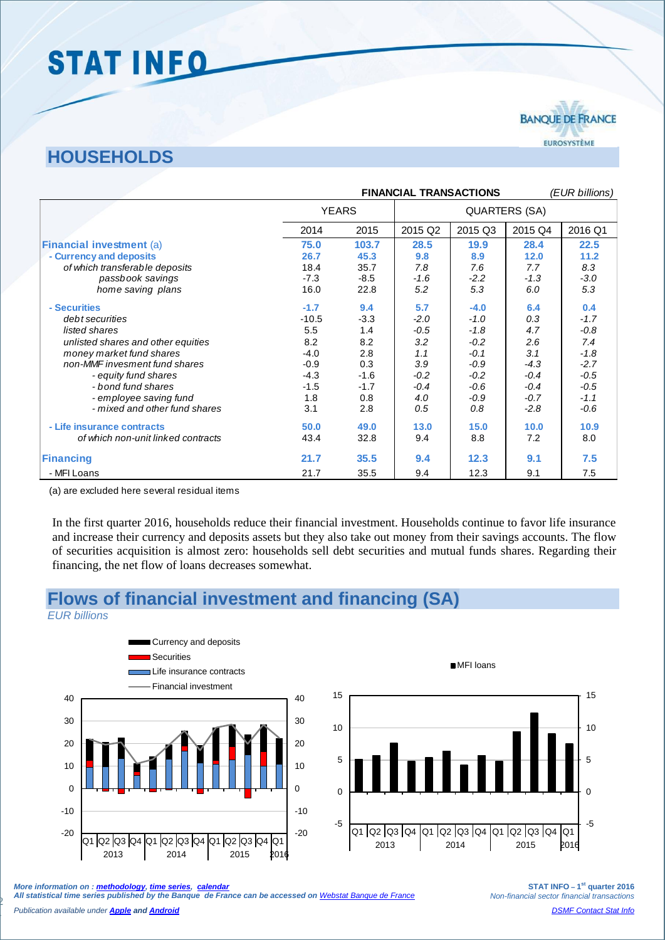# STAT INFO

### **HOUSEHOLDS**

|                                    | <b>FINANCIAL TRANSACTIONS</b> |        |                      |         | (EUR billions) |         |
|------------------------------------|-------------------------------|--------|----------------------|---------|----------------|---------|
|                                    | <b>YEARS</b>                  |        | <b>QUARTERS (SA)</b> |         |                |         |
|                                    | 2014                          | 2015   | 2015 Q2              | 2015 Q3 | 2015 Q4        | 2016 Q1 |
| <b>Financial investment (a)</b>    | 75.0                          | 103.7  | 28.5                 | 19.9    | 28.4           | 22.5    |
| - Currency and deposits            | 26.7                          | 45.3   | 9.8                  | 8.9     | 12.0           | 11.2    |
| of which transferable deposits     | 18.4                          | 35.7   | 7.8                  | 7.6     | 7.7            | 8.3     |
| passbook savings                   | $-7.3$                        | $-8.5$ | $-1.6$               | $-2.2$  | $-1.3$         | $-3.0$  |
| home saving plans                  | 16.0                          | 22.8   | 5.2                  | 5.3     | 6.0            | 5.3     |
| - Securities                       | $-1.7$                        | 9.4    | 5.7                  | $-4.0$  | 6.4            | 0.4     |
| debt securities                    | $-10.5$                       | $-3.3$ | $-2.0$               | $-1.0$  | 0.3            | $-1.7$  |
| listed shares                      | 5.5                           | 1.4    | -0.5                 | $-1.8$  | 4.7            | $-0.8$  |
| unlisted shares and other equities | 8.2                           | 8.2    | 3.2                  | $-0.2$  | 2.6            | 7.4     |
| money market fund shares           | $-4.0$                        | 2.8    | 1.1                  | $-0.1$  | 3.1            | $-1.8$  |
| non-MMF invesment fund shares      | $-0.9$                        | 0.3    | 3.9                  | $-0.9$  | $-4.3$         | $-2.7$  |
| - equity fund shares               | $-4.3$                        | $-1.6$ | $-0.2$               | $-0.2$  | $-0.4$         | $-0.5$  |
| - bond fund shares                 | $-1.5$                        | $-1.7$ | $-0.4$               | $-0.6$  | $-0.4$         | $-0.5$  |
| - employee saving fund             | 1.8                           | 0.8    | 4.0                  | $-0.9$  | $-0.7$         | $-1.1$  |
| - mixed and other fund shares      | 3.1                           | 2.8    | 0.5                  | 0.8     | $-2.8$         | $-0.6$  |
| - Life insurance contracts         | 50.0                          | 49.0   | 13.0                 | 15.0    | 10.0           | 10.9    |
| of which non-unit linked contracts | 43.4                          | 32.8   | 9.4                  | 8.8     | 7.2            | 8.0     |
| <b>Financing</b>                   | 21.7                          | 35.5   | 9.4                  | 12.3    | 9.1            | 7.5     |
| - MFI Loans                        | 21.7                          | 35.5   | 9.4                  | 12.3    | 9.1            | 7.5     |

(a) are excluded here several residual items

In the first quarter 2016, households reduce their financial investment. Households continue to favor life insurance and increase their currency and deposits assets but they also take out money from their savings accounts. The flow of securities acquisition is almost zero: households sell debt securities and mutual funds shares. Regarding their financing, the net flow of loans decreases somewhat.

#### **Flows of financial investment and financing (SA)**

*EUR billions*





2013 2014 2015 2016

*More information on [: methodology,](https://www.banque-france.fr/fileadmin/user_upload/banque_de_france/Economie_et_Statistiques/Database/Methodology/Methode-CF-base2010.pdf) [time series,](http://webstat.banque-france.fr/en) [calendar](https://www.banque-france.fr/en/economics-statistics/calendar.html)  All statistical time series published by the Banque de France can be accessed on [Webstat Banque de France](http://webstat.banque-france.fr/en/)*

**STAT INFO – 1 st quarter 2016** *Non-financial sector financial transactions [DSMF Contact Stat Info](mailto:1415-CONTACTSI-UT@banque-france.fr?subject=[statistic%20support]%20Comptes%20financiers%20des%20ANF)*

*Publication available under [Apple](https://itunes.apple.com/en/app/banquefrance/id663817914?mt=8) an[d Android](https://play.google.com/store/apps/details?id=fr.bdf.mobile&hl=en)*

2

-5

0

5

10

15

EUROSYSTÈME

**BANOUE DE FRANCE**